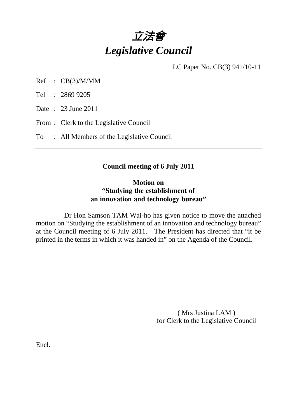

LC Paper No. CB(3) 941/10-11

Ref : CB(3)/M/MM

Tel : 2869 9205

Date : 23 June 2011

From : Clerk to the Legislative Council

To : All Members of the Legislative Council

## **Council meeting of 6 July 2011**

## **Motion on "Studying the establishment of an innovation and technology bureau"**

 Dr Hon Samson TAM Wai-ho has given notice to move the attached motion on "Studying the establishment of an innovation and technology bureau" at the Council meeting of 6 July 2011. The President has directed that "it be printed in the terms in which it was handed in" on the Agenda of the Council.

> ( Mrs Justina LAM ) for Clerk to the Legislative Council

Encl.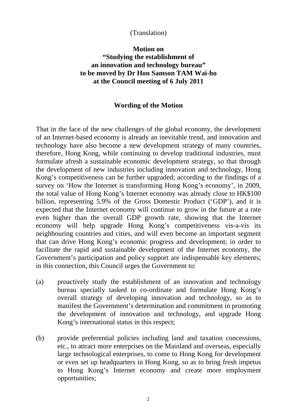### (Translation)

# **Motion on "Studying the establishment of an innovation and technology bureau" to be moved by Dr Hon Samson TAM Wai-ho at the Council meeting of 6 July 2011**

#### **Wording of the Motion**

That in the face of the new challenges of the global economy, the development of an Internet-based economy is already an inevitable trend, and innovation and technology have also become a new development strategy of many countries, therefore, Hong Kong, while continuing to develop traditional industries, must formulate afresh a sustainable economic development strategy, so that through the development of new industries including innovation and technology, Hong Kong's competitiveness can be further upgraded; according to the findings of a survey on 'How the Internet is transforming Hong Kong's economy', in 2009, the total value of Hong Kong's Internet economy was already close to HK\$100 billion, representing 5.9% of the Gross Domestic Product ('GDP'), and it is expected that the Internet economy will continue to grow in the future at a rate even higher than the overall GDP growth rate, showing that the Internet economy will help upgrade Hong Kong's competitiveness vis-a-vis its neighbouring countries and cities, and will even become an important segment that can drive Hong Kong's economic progress and development; in order to facilitate the rapid and sustainable development of the Internet economy, the Government's participation and policy support are indispensable key elements; in this connection, this Council urges the Government to:

- (a) proactively study the establishment of an innovation and technology bureau specially tasked to co-ordinate and formulate Hong Kong's overall strategy of developing innovation and technology, so as to manifest the Government's determination and commitment in promoting the development of innovation and technology, and upgrade Hong Kong's international status in this respect;
- (b) provide preferential policies including land and taxation concessions, etc., to attract more enterprises on the Mainland and overseas, especially large technological enterprises, to come to Hong Kong for development or even set up headquarters in Hong Kong, so as to bring fresh impetus to Hong Kong's Internet economy and create more employment opportunities;